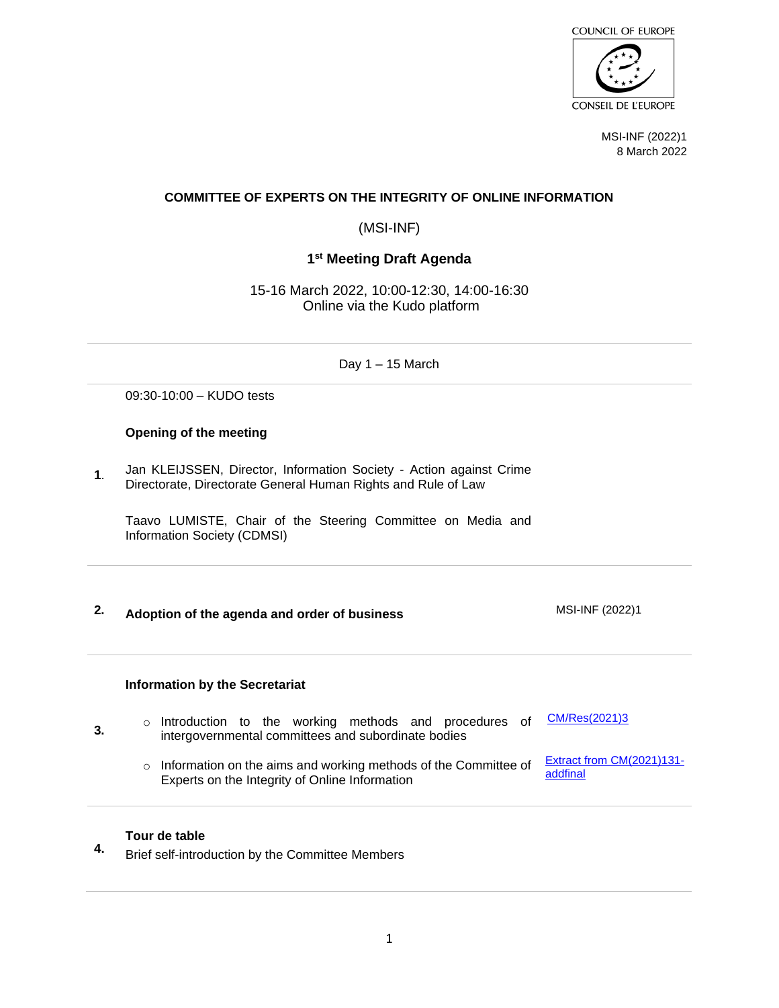

MSI-INF (2022)1 8 March 2022

## **COMMITTEE OF EXPERTS ON THE INTEGRITY OF ONLINE INFORMATION**

(MSI-INF)

# **1 st Meeting Draft Agenda**

15-16 March 2022, 10:00-12:30, 14:00-16:30 Online via the Kudo platform

Day 1 – 15 March

09:30-10:00 – KUDO tests

### **Opening of the meeting**

**1**. Jan KLEIJSSEN, Director, Information Society - Action against Crime Directorate, Directorate General Human Rights and Rule of Law

Taavo LUMISTE, Chair of the Steering Committee on Media and Information Society (CDMSI)

**2. Adoption of the agenda and order of business** MSI-INF (2022)1

#### **Information by the Secretariat**

- **3.** o Introduction to the working methods and procedures of intergovernmental committees and subordinate bodies [CM/Res\(2021\)3](https://search.coe.int/cm/Pages/result_details.aspx?ObjectID=0900001680a27292)
	- o Information on the aims and working methods of the Committee of Experts on the Integrity of Online Information [Extract from CM\(2021\)131](https://rm.coe.int/terms-of-reference-of-the-committee-of-experts-on-the-integrity-of-onl/1680a4ee6a) [addfinal](https://rm.coe.int/terms-of-reference-of-the-committee-of-experts-on-the-integrity-of-onl/1680a4ee6a)

## **Tour de table**

**4.** Brief self-introduction by the Committee Members